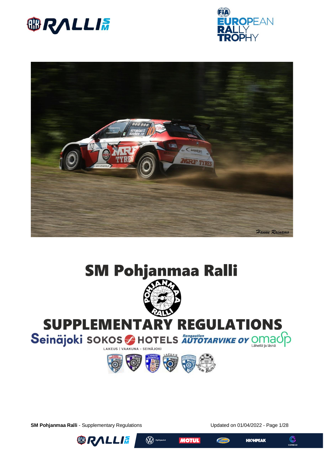









# **SUPPLEMENTARY REGULATIONS**

Seinäjoki sokos A HOTELS AUTOTARVIKE OY OMACO



**SM Pohjanmaa Ralli** - Supplementary Regulations Updated on 01/04/2022 - Page 1/28









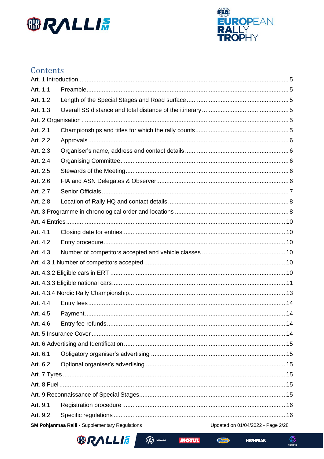



## Contents

| Art. 1.1 |                                                       |                                   |  |  |  |
|----------|-------------------------------------------------------|-----------------------------------|--|--|--|
| Art. 1.2 |                                                       |                                   |  |  |  |
| Art. 1.3 |                                                       |                                   |  |  |  |
|          |                                                       |                                   |  |  |  |
| Art. 2.1 |                                                       |                                   |  |  |  |
| Art. 2.2 |                                                       |                                   |  |  |  |
| Art. 2.3 |                                                       |                                   |  |  |  |
| Art. 2.4 |                                                       |                                   |  |  |  |
| Art. 2.5 |                                                       |                                   |  |  |  |
| Art. 2.6 |                                                       |                                   |  |  |  |
| Art. 2.7 |                                                       |                                   |  |  |  |
| Art. 2.8 |                                                       |                                   |  |  |  |
|          |                                                       |                                   |  |  |  |
|          |                                                       |                                   |  |  |  |
| Art. 4.1 |                                                       |                                   |  |  |  |
| Art. 4.2 |                                                       |                                   |  |  |  |
| Art. 4.3 |                                                       |                                   |  |  |  |
|          |                                                       |                                   |  |  |  |
|          |                                                       |                                   |  |  |  |
|          |                                                       |                                   |  |  |  |
|          |                                                       |                                   |  |  |  |
| Art. 4.4 |                                                       |                                   |  |  |  |
| Art. 4.5 |                                                       |                                   |  |  |  |
| Art. 4.6 |                                                       |                                   |  |  |  |
|          |                                                       |                                   |  |  |  |
|          |                                                       |                                   |  |  |  |
| Art. 6.1 |                                                       |                                   |  |  |  |
| Art. 6.2 |                                                       |                                   |  |  |  |
|          |                                                       |                                   |  |  |  |
|          |                                                       |                                   |  |  |  |
|          |                                                       |                                   |  |  |  |
| Art. 9.1 |                                                       |                                   |  |  |  |
| Art. 9.2 |                                                       |                                   |  |  |  |
|          | <b>SM Pohjanmaa Ralli - Supplementary Regulations</b> | Updated on 01/04/2022 - Page 2/28 |  |  |  |



**MOTUL** 

**W** Hyötyautot

**HIOHPEAK**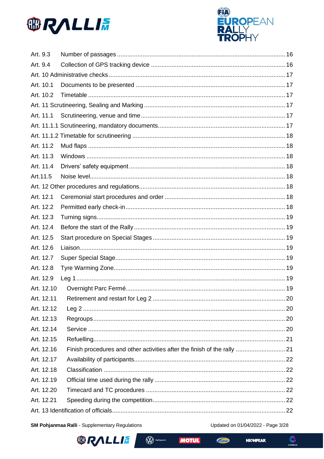



| Art. 9.3   |                                                                          |  |
|------------|--------------------------------------------------------------------------|--|
| Art. 9.4   |                                                                          |  |
|            |                                                                          |  |
| Art. 10.1  |                                                                          |  |
| Art. 10.2  |                                                                          |  |
|            |                                                                          |  |
| Art. 11.1  |                                                                          |  |
|            |                                                                          |  |
|            |                                                                          |  |
| Art. 11.2  |                                                                          |  |
| Art. 11.3  |                                                                          |  |
| Art. 11.4  |                                                                          |  |
| Art.11.5   |                                                                          |  |
|            |                                                                          |  |
| Art. 12.1  |                                                                          |  |
| Art. 12.2  |                                                                          |  |
| Art. 12.3  |                                                                          |  |
| Art. 12.4  |                                                                          |  |
| Art. 12.5  |                                                                          |  |
| Art. 12.6  |                                                                          |  |
| Art. 12.7  |                                                                          |  |
| Art. 12.8  |                                                                          |  |
| Art. 12.9  |                                                                          |  |
| Art. 12.10 |                                                                          |  |
| Art. 12.11 |                                                                          |  |
| Art. 12.12 |                                                                          |  |
| Art. 12.13 |                                                                          |  |
| Art. 12.14 |                                                                          |  |
| Art. 12.15 |                                                                          |  |
| Art. 12.16 | Finish procedures and other activities after the finish of the rally  21 |  |
| Art. 12.17 |                                                                          |  |
| Art. 12.18 |                                                                          |  |
| Art. 12.19 |                                                                          |  |
| Art. 12.20 |                                                                          |  |
| Art. 12.21 |                                                                          |  |
|            |                                                                          |  |

SM Pohjanmaa Ralli - Supplementary Regulations

Updated on 01/04/2022 - Page 3/28



**W** Hyötyautot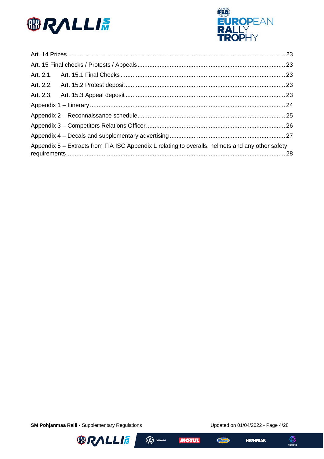



| Appendix 5 – Extracts from FIA ISC Appendix L relating to overalls, helmets and any other safety |  |
|--------------------------------------------------------------------------------------------------|--|

SM Pohjanmaa Ralli - Supplementary Regulations

Updated on 01/04/2022 - Page 4/28









 $\mathbb{C}$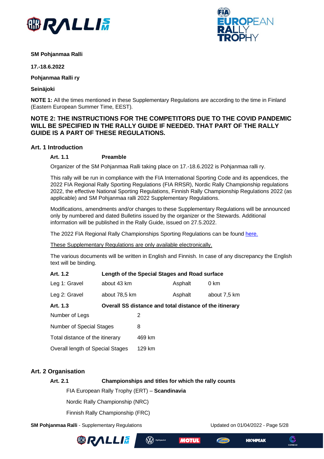



#### **SM Pohjanmaa Ralli**

**17.-18.6.2022**

**Pohjanmaa Ralli ry**

**Seinäjoki**

**NOTE 1:** All the times mentioned in these Supplementary Regulations are according to the time in Finland (Eastern European Summer Time, EEST).

## **NOTE 2: THE INSTRUCTIONS FOR THE COMPETITORS DUE TO THE COVID PANDEMIC WILL BE SPECIFIED IN THE RALLY GUIDE IF NEEDED. THAT PART OF THE RALLY GUIDE IS A PART OF THESE REGULATIONS.**

### <span id="page-4-1"></span><span id="page-4-0"></span>**Art. 1 Introduction**

### **Art. 1.1 Preamble**

Organizer of the SM Pohjanmaa Ralli taking place on 17.-18.6.2022 is Pohjanmaa ralli ry.

This rally will be run in compliance with the FIA International Sporting Code and its appendices, the 2022 FIA Regional Rally Sporting Regulations (FIA RRSR), Nordic Rally Championship regulations 2022, the effective National Sporting Regulations, Finnish Rally Championship Regulations 2022 (as applicable) and SM Pohjanmaa ralli 2022 Supplementary Regulations.

Modifications, amendments and/or changes to these Supplementary Regulations will be announced only by numbered and dated Bulletins issued by the organizer or the Stewards. Additional information will be published in the Rally Guide, issued on 27.5.2022.

The 2022 FIA Regional Rally Championships Sporting Regulations can be found [here.](https://www.fia.com/regulation/category/117)

These Supplementary Regulations are only available electronically.

The various documents will be written in English and Finnish. In case of any discrepancy the English text will be binding.

<span id="page-4-3"></span><span id="page-4-2"></span>

| Art. 1.2                         |               | Length of the Special Stages and Road surface           |         |              |
|----------------------------------|---------------|---------------------------------------------------------|---------|--------------|
| Leg 1: Gravel                    | about 43 km   |                                                         | Asphalt | 0 km         |
| Leg 2: Gravel                    | about 78,5 km |                                                         | Asphalt | about 7,5 km |
| Art. 1.3                         |               | Overall SS distance and total distance of the itinerary |         |              |
| Number of Legs                   |               | 2                                                       |         |              |
| Number of Special Stages         |               | 8                                                       |         |              |
| Total distance of the itinerary  |               | 469 km                                                  |         |              |
| Overall length of Special Stages |               | 129 km                                                  |         |              |

## <span id="page-4-5"></span><span id="page-4-4"></span>**Art. 2 Organisation**

**Art. 2.1 Championships and titles for which the rally counts**

(W) Hyötyautot

FIA European Rally Trophy (ERT) – **Scandinavia**

Nordic Rally Championship (NRC)

Finnish Rally Championship (FRC)

**SM Pohjanmaa Ralli** - Supplementary Regulations Updated on 01/04/2022 - Page 5/28





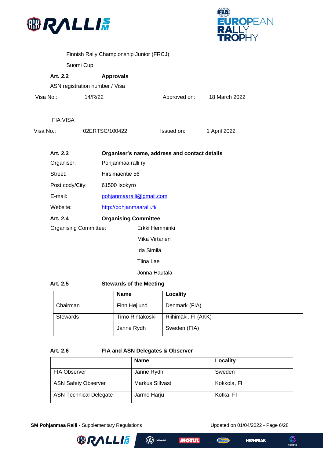



<span id="page-5-1"></span><span id="page-5-0"></span>

|           |                                |           | Finnish Rally Championship Junior (FRCJ) |                                               |               |
|-----------|--------------------------------|-----------|------------------------------------------|-----------------------------------------------|---------------|
|           |                                | Suomi Cup |                                          |                                               |               |
|           | Art. 2.2                       |           | <b>Approvals</b>                         |                                               |               |
|           | ASN registration number / Visa |           |                                          |                                               |               |
| Visa No.: |                                | 14/R/22   |                                          | Approved on:                                  | 18 March 2022 |
|           |                                |           |                                          |                                               |               |
|           | <b>FIA VISA</b>                |           |                                          |                                               |               |
| Visa No.: |                                |           | 02ERTSC/100422                           | Issued on:                                    | 1 April 2022  |
|           |                                |           |                                          |                                               |               |
|           | Art. 2.3                       |           |                                          | Organiser's name, address and contact details |               |
|           | Organiser:                     |           | Pohjanmaa ralli ry                       |                                               |               |
|           | Street:                        |           | Hirsimäentie 56                          |                                               |               |
|           | Post cody/City:                |           | 61500 Isokyrö                            |                                               |               |
|           | E-mail:                        |           | pohjanmaaralli@gmail.com                 |                                               |               |
|           | Website:                       |           | http://pohjanmaaralli.fi/                |                                               |               |
|           | Art. 2.4                       |           | <b>Organising Committee</b>              |                                               |               |
|           | <b>Organising Committee:</b>   |           |                                          | Erkki Hemminki                                |               |
|           |                                |           |                                          | Mika Virtanen                                 |               |
|           |                                |           |                                          | Ida Similä                                    |               |
|           |                                |           |                                          | Tiina Lae                                     |               |

Jonna Hautala

<span id="page-5-3"></span><span id="page-5-2"></span>

| Art. 2.5        | <b>Stewards of the Meeting</b> |                     |
|-----------------|--------------------------------|---------------------|
|                 | <b>Name</b>                    | Locality            |
| Chairman        | Finn Højlund                   | Denmark (FIA)       |
| <b>Stewards</b> | Timo Rintakoski                | Riihimäki, FI (AKK) |
|                 | Janne Rydh                     | Sweden (FIA)        |

### <span id="page-5-4"></span>**Art. 2.6 FIA and ASN Delegates & Observer**

|                               | <b>Name</b>     | Locality    |
|-------------------------------|-----------------|-------------|
| <b>FIA Observer</b>           | Janne Rydh      | Sweden      |
| <b>ASN Safety Observer</b>    | Markus Silfvast | Kokkola, Fl |
| <b>ASN Technical Delegate</b> | Jarmo Harju     | Kotka, FI   |

**SM Pohjanmaa Ralli** - Supplementary Regulations Updated on 01/04/2022 - Page 6/28



**W** Hyötyautot **MOTUL** 

 $\sqrt{A_{\rm NL}}$ 



C

COREGO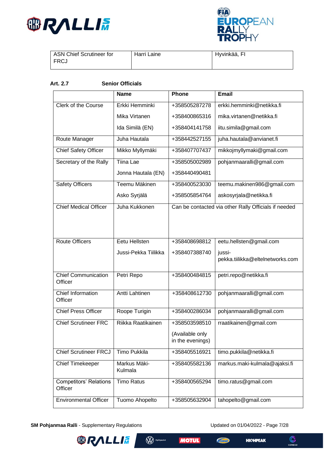



| ASN Chief Scrutineer for | Harri Laine | Hyvinkää, FI |
|--------------------------|-------------|--------------|
| FRCJ                     |             |              |
|                          |             |              |

### <span id="page-6-0"></span>**Art. 2.7 Senior Officials**

|                               | <b>Name</b>           | Phone            | <b>Email</b>                                         |
|-------------------------------|-----------------------|------------------|------------------------------------------------------|
|                               |                       |                  |                                                      |
| <b>Clerk of the Course</b>    | Erkki Hemminki        | +358505287278    | erkki.hemminki@netikka.fi                            |
|                               | Mika Virtanen         | +358400865316    | mika.virtanen@netikka.fi                             |
|                               | Ida Similä (EN)       | +358404141758    | iitu.simila@gmail.com                                |
| Route Manager                 | Juha Hautala          | +358442527155    | juha.hautala@anvianet.fi                             |
| <b>Chief Safety Officer</b>   | Mikko Myllymäki       | +358407707437    | mikkojmyllymaki@gmail.com                            |
| Secretary of the Rally        | <b>Tiina Lae</b>      | +358505002989    | pohjanmaaralli@gmail.com                             |
|                               | Jonna Hautala (EN)    | +358440490481    |                                                      |
| <b>Safety Officers</b>        | Teemu Mäkinen         | +358400523030    | teemu.makinen986@gmail.com                           |
|                               | Asko Syrjälä          | +358505854764    | askosyrjala@netikka.fi                               |
| <b>Chief Medical Officer</b>  | Juha Kukkonen         |                  | Can be contacted via other Rally Officials if needed |
|                               |                       |                  |                                                      |
|                               |                       |                  |                                                      |
| <b>Route Officers</b>         | Eetu Hellsten         | +358408698812    | eetu.hellsten@gmail.com                              |
|                               | Jussi-Pekka Tiilikka  | +358407388740    | jussi-                                               |
|                               |                       |                  | pekka.tiilikka@eltelnetworks.com                     |
| <b>Chief Communication</b>    | Petri Repo            | +358400484815    | petri.repo@netikka.fi                                |
| Officer                       |                       |                  |                                                      |
| <b>Chief Information</b>      | <b>Antti Lahtinen</b> | +358408612730    | pohjanmaaralli@gmail.com                             |
| Officer                       |                       |                  |                                                      |
| <b>Chief Press Officer</b>    | Roope Turigin         | +358400286034    | pohjanmaaralli@gmail.com                             |
| <b>Chief Scrutineer FRC</b>   | Riikka Raatikainen    | +358503598510    | rraatikainen@gmail.com                               |
|                               |                       | (Available only  |                                                      |
|                               |                       | in the evenings) |                                                      |
| <b>Chief Scrutineer FRCJ</b>  | <b>Timo Pukkila</b>   | +358405516921    | timo.pukkila@netikka.fi                              |
| <b>Chief Timekeeper</b>       | Markus Mäki-          | +358405582136    | markus.maki-kulmala@ajaksi.fi                        |
|                               | Kulmala               |                  |                                                      |
| <b>Competitors' Relations</b> | <b>Timo Ratus</b>     | +358400565294    | timo.ratus@gmail.com                                 |
| Officer                       |                       |                  |                                                      |
| <b>Environmental Officer</b>  | Tuomo Ahopelto        | +358505632904    | tahopelto@gmail.com                                  |

**W** Hyötyautot

**MOTUL** 

 $\sqrt{p_{\rm xdd}}$ 

**SM Pohjanmaa Ralli** - Supplementary Regulations Updated on 01/04/2022 - Page 7/28

**ORALLIA** 

**HIGHPEAK** 

 $\mathbb{C}$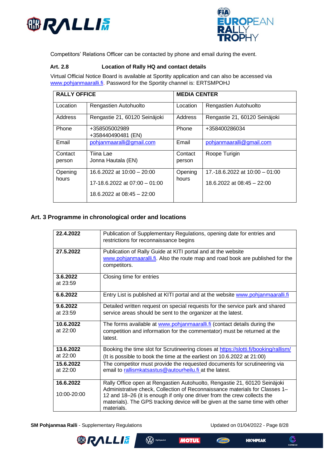



Competitors' Relations Officer can be contacted by phone and email during the event.

#### <span id="page-7-0"></span>**Art. 2.8 Location of Rally HQ and contact details**

Virtual Official Notice Board is available at Sportity application and can also be accessed via [www.pohjanmaaralli.fi.](http://www.pohjanmaaralli.fi/) Password for the Sportity channel is: ERTSMPOHJ

| <b>RALLY OFFICE</b> |                                     | <b>MEDIA CENTER</b> |                                  |
|---------------------|-------------------------------------|---------------------|----------------------------------|
| Location            | Rengastien Autohuolto               | Location            | Rengastien Autohuolto            |
| Address             | Rengastie 21, 60120 Seinäjoki       | Address             | Rengastie 21, 60120 Seinäjoki    |
| Phone               | +358505002989<br>+358440490481 (EN) | Phone               | +358400286034                    |
| Email               | pohjanmaaralli@gmail.com            | Email               | pohjanmaaralli@gmail.com         |
| Contact<br>person   | Tiina Lae<br>Jonna Hautala (EN)     | Contact<br>person   | Roope Turigin                    |
| Opening<br>hours    | $16.6.2022$ at $10:00 - 20:00$      | Opening<br>hours    | 17.-18.6.2022 at $10:00 - 01:00$ |
|                     | 17-18.6.2022 at 07:00 - 01:00       |                     | 18.6.2022 at 08:45 - 22:00       |
|                     | $18.6.2022$ at $08.45 - 22.00$      |                     |                                  |

## <span id="page-7-1"></span>**Art. 3 Programme in chronological order and locations**

| 22.4.2022                | Publication of Supplementary Regulations, opening date for entries and<br>restrictions for reconnaissance begins                                                                                                                                                                                                                    |
|--------------------------|-------------------------------------------------------------------------------------------------------------------------------------------------------------------------------------------------------------------------------------------------------------------------------------------------------------------------------------|
| 27.5.2022                | Publication of Rally Guide at KITI portal and at the website<br>www.pohjanmaaralli.fi. Also the route map and road book are published for the<br>competitors.                                                                                                                                                                       |
| 3.6.2022<br>at $23:59$   | Closing time for entries                                                                                                                                                                                                                                                                                                            |
| 6.6.2022                 | Entry List is published at KITI portal and at the website www.pohjanmaaralli.fi                                                                                                                                                                                                                                                     |
| 9.6.2022<br>at 23:59     | Detailed written request on special requests for the service park and shared<br>service areas should be sent to the organizer at the latest.                                                                                                                                                                                        |
| 10.6.2022<br>at 22:00    | The forms available at www.pohjanmaaralli.fi (contact details during the<br>competition and information for the commentator) must be returned at the<br>latest.                                                                                                                                                                     |
| 13.6.2022<br>at $22:00$  | Booking the time slot for Scrutineering closes at https://slotti.fi/booking/rallism/<br>(It is possible to book the time at the earliest on 10.6.2022 at 21:00)                                                                                                                                                                     |
| 15.6.2022<br>at 22:00    | The competitor must provide the requested documents for scrutineering via<br>email to rallismkatsastus@autourheilu.fi at the latest.                                                                                                                                                                                                |
| 16.6.2022<br>10:00-20:00 | Rally Office open at Rengastien Autohuolto, Rengastie 21, 60120 Seinäjoki<br>Administrative check, Collection of Reconnaissance materials for Classes 1-<br>12 and 18-26 (it is enough if only one driver from the crew collects the<br>materials). The GPS tracking device will be given at the same time with other<br>materials. |

**SM Pohjanmaa Ralli** - Supplementary Regulations Updated on 01/04/2022 - Page 8/28

**HIGHPEAK** 



**MOTUL**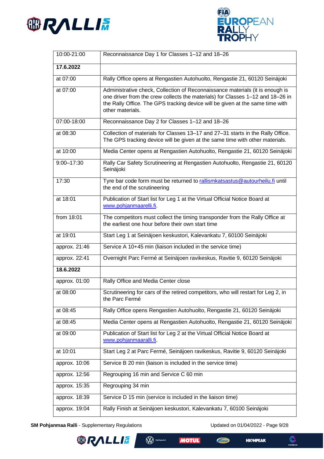



| 10:00-21:00   | Reconnaissance Day 1 for Classes 1-12 and 18-26                                                                                                                                                                                                                      |
|---------------|----------------------------------------------------------------------------------------------------------------------------------------------------------------------------------------------------------------------------------------------------------------------|
| 17.6.2022     |                                                                                                                                                                                                                                                                      |
| at 07:00      | Rally Office opens at Rengastien Autohuolto, Rengastie 21, 60120 Seinäjoki                                                                                                                                                                                           |
| at 07:00      | Administrative check, Collection of Reconnaissance materials (it is enough is<br>one driver from the crew collects the materials) for Classes 1-12 and 18-26 in<br>the Rally Office. The GPS tracking device will be given at the same time with<br>other materials. |
| 07:00-18:00   | Reconnaissance Day 2 for Classes 1-12 and 18-26                                                                                                                                                                                                                      |
| at 08:30      | Collection of materials for Classes 13-17 and 27-31 starts in the Rally Office.<br>The GPS tracking device will be given at the same time with other materials.                                                                                                      |
| at 10:00      | Media Center opens at Rengastien Autohuolto, Rengastie 21, 60120 Seinäjoki                                                                                                                                                                                           |
| 9:00-17:30    | Rally Car Safety Scrutineering at Rengastien Autohuolto, Rengastie 21, 60120<br>Seinäjoki                                                                                                                                                                            |
| 17:30         | Tyre bar code form must be returned to rallismkatsastus@autourheilu.fi until<br>the end of the scrutineering                                                                                                                                                         |
| at 18:01      | Publication of Start list for Leg 1 at the Virtual Official Notice Board at<br>www.pohjanmaarelli.fi.                                                                                                                                                                |
| from 18:01    | The competitors must collect the timing transponder from the Rally Office at<br>the earliest one hour before their own start time                                                                                                                                    |
| at 19:01      | Start Leg 1 at Seinäjoen keskustori, Kalevankatu 7, 60100 Seinäjoki                                                                                                                                                                                                  |
| approx. 21:46 | Service A 10+45 min (liaison included in the service time)                                                                                                                                                                                                           |
| approx. 22:41 | Overnight Parc Fermé at Seinäjoen ravikeskus, Ravitie 9, 60120 Seinäjoki                                                                                                                                                                                             |
| 18.6.2022     |                                                                                                                                                                                                                                                                      |
| approx. 01:00 | Rally Office and Media Center close                                                                                                                                                                                                                                  |
| at 08:00      | Scrutineering for cars of the retired competitors, who will restart for Leg 2, in<br>the Parc Fermé                                                                                                                                                                  |
| at 08:45      | Rally Office opens Rengastien Autohuolto, Rengastie 21, 60120 Seinäjoki                                                                                                                                                                                              |
| at 08:45      | Media Center opens at Rengastien Autohuolto, Rengastie 21, 60120 Seinäjoki                                                                                                                                                                                           |
| at 09:00      | Publication of Start list for Leg 2 at the Virtual Official Notice Board at<br>www.pohjanmaaralli.fi.                                                                                                                                                                |
| at 10:01      | Start Leg 2 at Parc Fermé, Seinäjoen ravikeskus, Ravitie 9, 60120 Seinäjoki                                                                                                                                                                                          |
| approx. 10:06 | Service B 20 min (liaison is included in the service time)                                                                                                                                                                                                           |
| approx. 12:56 | Regrouping 16 min and Service C 60 min                                                                                                                                                                                                                               |
| approx. 15:35 | Regrouping 34 min                                                                                                                                                                                                                                                    |
| approx. 18:39 | Service D 15 min (service is included in the liaison time)                                                                                                                                                                                                           |
| approx. 19:04 | Rally Finish at Seinäjoen keskustori, Kalevankatu 7, 60100 Seinäjoki                                                                                                                                                                                                 |

**W** Hyötyautot

**MOTUL** 

**Chan** 

**SM Pohjanmaa Ralli** - Supplementary Regulations Updated on 01/04/2022 - Page 9/28

**BRALLIA** 

**HIGHPEAK** 

 $\bigodot$ <br>COREGO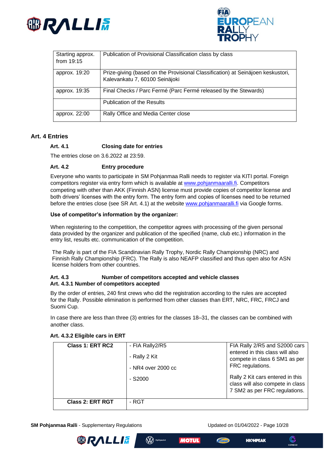



| Starting approx.<br>from $19:15$ | Publication of Provisional Classification class by class                                                          |
|----------------------------------|-------------------------------------------------------------------------------------------------------------------|
| approx. 19:20                    | Prize-giving (based on the Provisional Classification) at Seinäjoen keskustori,<br>Kalevankatu 7, 60100 Seinäjoki |
| approx. 19:35                    | Final Checks / Parc Fermé (Parc Fermé released by the Stewards)                                                   |
|                                  | <b>Publication of the Results</b>                                                                                 |
| approx. 22:00                    | Rally Office and Media Center close                                                                               |

#### <span id="page-9-1"></span><span id="page-9-0"></span>**Art. 4 Entries**

#### **Art. 4.1 Closing date for entries**

The entries close on 3.6.2022 at 23:59.

#### <span id="page-9-2"></span>**Art. 4.2 Entry procedure**

Everyone who wants to participate in SM Pohjanmaa Ralli needs to register via KITI portal. Foreign competitors register via entry form which is available at [www.pohjanmaaralli.fi.](http://www.pohjanmaaralli.fi/) Competitors competing with other than AKK (Finnish ASN) license must provide copies of competitor license and both drivers' licenses with the entry form. The entry form and copies of licenses need to be returned before the entries close (see SR Art. 4.1) at the website [www.pohjanmaaralli.fi](http://www.pohjanmaaralli.fi/) via Google forms.

#### **Use of competitor's information by the organizer:**

When registering to the competition, the competitor agrees with processing of the given personal data provided by the organizer and publication of the specified (name, club etc.) information in the entry list, results etc. communication of the competition.

The Rally is part of the FIA Scandinavian Rally Trophy, Nordic Rally Championship (NRC) and Finnish Rally Championship (FRC). The Rally is also NEAFP classified and thus open also for ASN license holders from other countries.

#### <span id="page-9-4"></span><span id="page-9-3"></span>**Art. 4.3 Number of competitors accepted and vehicle classes Art. 4.3.1 Number of competitors accepted**

By the order of entries, 240 first crews who did the registration according to the rules are accepted for the Rally. Possible elimination is performed from other classes than ERT, NRC, FRC, FRCJ and Suomi Cup.

In case there are less than three (3) entries for the classes 18–31, the classes can be combined with another class.

| Class 1: ERT RC2        | - FIA Rally2/R5<br>- Rally 2 Kit<br>- NR4 over 2000 cc | FIA Rally 2/R5 and S2000 cars<br>entered in this class will also<br>compete in class 6 SM1 as per<br>FRC regulations. |
|-------------------------|--------------------------------------------------------|-----------------------------------------------------------------------------------------------------------------------|
|                         | $-S2000$                                               | Rally 2 Kit cars entered in this<br>class will also compete in class<br>7 SM2 as per FRC regulations.                 |
| <b>Class 2: ERT RGT</b> | - RGT                                                  |                                                                                                                       |

#### <span id="page-9-5"></span>**Art. 4.3.2 Eligible cars in ERT**

**SM Pohjanmaa Ralli** - Supplementary Regulations Updated on 01/04/2022 - Page 10/28

**HIGHPEAK** 





(W) Hyötyautot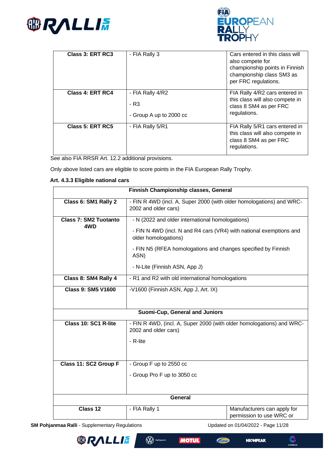



| <b>Class 3: ERT RC3</b> | - FIA Rally 3                                       | Cars entered in this class will<br>also compete for<br>championship points in Finnish<br>championship class SM3 as<br>per FRC regulations. |
|-------------------------|-----------------------------------------------------|--------------------------------------------------------------------------------------------------------------------------------------------|
| Class 4: ERT RC4        | - FIA Rally 4/R2<br>- R3<br>- Group A up to 2000 cc | FIA Rally 4/R2 cars entered in<br>this class will also compete in<br>class 8 SM4 as per FRC<br>regulations.                                |
| <b>Class 5: ERT RC5</b> | - FIA Rally 5/R1                                    | FIA Rally 5/R1 cars entered in<br>this class will also compete in<br>class 8 SM4 as per FRC<br>regulations.                                |

See also FIA RRSR Art. 12.2 additional provisions.

Only above listed cars are eligible to score points in the FIA European Rally Trophy.

#### <span id="page-10-0"></span>**Art. 4.3.3 Eligible national cars**

| Finnish Championship classes, General |                                                                                                                                                                                                                          |  |  |
|---------------------------------------|--------------------------------------------------------------------------------------------------------------------------------------------------------------------------------------------------------------------------|--|--|
| Class 6: SM1 Rally 2                  | - FIN R 4WD (incl. A, Super 2000 (with older homologations) and WRC-<br>2002 and older cars)                                                                                                                             |  |  |
| <b>Class 7: SM2 Tuotanto</b><br>4WD   | - N (2022 and older international homologations)<br>- FIN N 4WD (incl. N and R4 cars (VR4) with national exemptions and<br>older homologations)<br>- FIN N5 (RFEA homologations and changes specified by Finnish<br>ASN) |  |  |
|                                       | - N-Lite (Finnish ASN, App J)                                                                                                                                                                                            |  |  |
| Class 8: SM4 Rally 4                  | - R1 and R2 with old international homologations                                                                                                                                                                         |  |  |
| <b>Class 9: SM5 V1600</b>             | -V1600 (Finnish ASN, App J, Art. IX)                                                                                                                                                                                     |  |  |
| Suomi-Cup, General and Juniors        |                                                                                                                                                                                                                          |  |  |
| Class 10: SC1 R-lite                  | - FIN R 4WD, (incl. A, Super 2000 (with older homologations) and WRC-<br>2002 and older cars)                                                                                                                            |  |  |
|                                       | - R-lite                                                                                                                                                                                                                 |  |  |
| Class 11: SC2 Group F                 | - Group F up to 2550 cc                                                                                                                                                                                                  |  |  |
|                                       | - Group Pro F up to 3050 cc                                                                                                                                                                                              |  |  |
|                                       | General                                                                                                                                                                                                                  |  |  |
| Class 12                              | - FIA Rally 1<br>Manufacturers can apply for<br>permission to use WRC or                                                                                                                                                 |  |  |

**SM Pohjanmaa Ralli** - Supplementary Regulations Updated on 01/04/2022 - Page 11/28





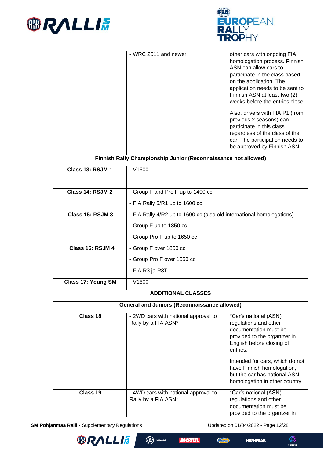



|                           | - WRC 2011 and newer                                                  | other cars with ongoing FIA                                    |  |  |
|---------------------------|-----------------------------------------------------------------------|----------------------------------------------------------------|--|--|
|                           |                                                                       | homologation process. Finnish<br>ASN can allow cars to         |  |  |
|                           |                                                                       | participate in the class based                                 |  |  |
|                           |                                                                       | on the application. The<br>application needs to be sent to     |  |  |
|                           |                                                                       | Finnish ASN at least two (2)                                   |  |  |
|                           |                                                                       | weeks before the entries close.                                |  |  |
|                           |                                                                       | Also, drivers with FIA P1 (from                                |  |  |
|                           |                                                                       | previous 2 seasons) can<br>participate in this class           |  |  |
|                           |                                                                       | regardless of the class of the                                 |  |  |
|                           |                                                                       | car. The participation needs to<br>be approved by Finnish ASN. |  |  |
|                           | Finnish Rally Championship Junior (Reconnaissance not allowed)        |                                                                |  |  |
| Class 13: RSJM 1          | $- V1600$                                                             |                                                                |  |  |
|                           |                                                                       |                                                                |  |  |
| Class 14: RSJM 2          |                                                                       |                                                                |  |  |
|                           | - Group F and Pro F up to 1400 cc                                     |                                                                |  |  |
|                           | - FIA Rally 5/R1 up to 1600 cc                                        |                                                                |  |  |
| Class 15: RSJM 3          | - FIA Rally 4/R2 up to 1600 cc (also old international homologations) |                                                                |  |  |
|                           | - Group F up to 1850 cc                                               |                                                                |  |  |
|                           | - Group Pro F up to 1650 cc                                           |                                                                |  |  |
| Class 16: RSJM 4          | - Group F over 1850 cc                                                |                                                                |  |  |
|                           | - Group Pro F over 1650 cc                                            |                                                                |  |  |
|                           | - FIA R3 ja R3T                                                       |                                                                |  |  |
| <b>Class 17: Young SM</b> | $- V1600$                                                             |                                                                |  |  |
|                           | <b>ADDITIONAL CLASSES</b>                                             |                                                                |  |  |
|                           | <b>General and Juniors (Reconnaissance allowed)</b>                   |                                                                |  |  |
| Class 18                  | - 2WD cars with national approval to                                  | *Car's national (ASN)                                          |  |  |
|                           | Rally by a FIA ASN*                                                   | regulations and other<br>documentation must be                 |  |  |
|                           |                                                                       | provided to the organizer in                                   |  |  |
|                           |                                                                       | English before closing of<br>entries.                          |  |  |
|                           |                                                                       | Intended for cars, which do not                                |  |  |
|                           |                                                                       | have Finnish homologation,                                     |  |  |
|                           | but the car has national ASN                                          |                                                                |  |  |
|                           |                                                                       | homologation in other country                                  |  |  |
| Class 19                  | - 4WD cars with national approval to<br>Rally by a FIA ASN*           | *Car's national (ASN)<br>regulations and other                 |  |  |
|                           |                                                                       | documentation must be                                          |  |  |
|                           |                                                                       | provided to the organizer in                                   |  |  |

**SM Pohjanmaa Ralli** - Supplementary Regulations Updated on 01/04/2022 - Page 12/28

**ORALLIE** 

**W** Hyötyautot

**MOTUL** 

**HIGHPEAK** 

**Chan** 

 $\mathbb{C}$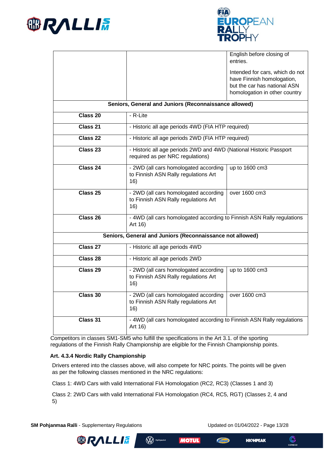



|                                                           | English before closing of<br>entries.                                                                                          |  |  |  |
|-----------------------------------------------------------|--------------------------------------------------------------------------------------------------------------------------------|--|--|--|
|                                                           | Intended for cars, which do not<br>have Finnish homologation,<br>but the car has national ASN<br>homologation in other country |  |  |  |
|                                                           | Seniors, General and Juniors (Reconnaissance allowed)                                                                          |  |  |  |
| Class 20                                                  | - R-Lite                                                                                                                       |  |  |  |
| Class 21                                                  | - Historic all age periods 4WD (FIA HTP required)                                                                              |  |  |  |
| Class 22                                                  | - Historic all age periods 2WD (FIA HTP required)                                                                              |  |  |  |
| Class 23                                                  | - Historic all age periods 2WD and 4WD (National Historic Passport<br>required as per NRC regulations)                         |  |  |  |
| Class 24                                                  | - 2WD (all cars homologated according<br>up to 1600 cm3<br>to Finnish ASN Rally regulations Art<br>16)                         |  |  |  |
| Class <sub>25</sub>                                       | - 2WD (all cars homologated according<br>over 1600 cm3<br>to Finnish ASN Rally regulations Art<br>16)                          |  |  |  |
| Class 26                                                  | - 4WD (all cars homologated according to Finnish ASN Rally regulations<br>Art 16)                                              |  |  |  |
| Seniors, General and Juniors (Reconnaissance not allowed) |                                                                                                                                |  |  |  |
| Class 27                                                  | - Historic all age periods 4WD                                                                                                 |  |  |  |
| Class 28                                                  | - Historic all age periods 2WD                                                                                                 |  |  |  |
| Class 29                                                  | - 2WD (all cars homologated according<br>up to 1600 cm3<br>to Finnish ASN Rally regulations Art<br>16)                         |  |  |  |
| Class 30                                                  | over 1600 cm3<br>- 2WD (all cars homologated according<br>to Finnish ASN Rally regulations Art<br>16)                          |  |  |  |
| Class 31                                                  | - 4WD (all cars homologated according to Finnish ASN Rally regulations<br>Art 16)                                              |  |  |  |

Competitors in classes SM1-SM5 who fulfill the specifications in the Art 3.1. of the sporting regulations of the Finnish Rally Championship are eligible for the Finnish Championship points.

#### <span id="page-12-0"></span>**Art. 4.3.4 Nordic Rally Championship**

Drivers entered into the classes above, will also compete for NRC points. The points will be given as per the following classes mentioned in the NRC regulations:

Class 1: 4WD Cars with valid International FIA Homologation (RC2, RC3) (Classes 1 and 3)

**W** Hyötyautot

Class 2: 2WD Cars with valid International FIA Homologation (RC4, RC5, RGT) (Classes 2, 4 and 5)

**SM Pohjanmaa Ralli** - Supplementary Regulations Updated on 01/04/2022 - Page 13/28

**HIOHPEAK** 





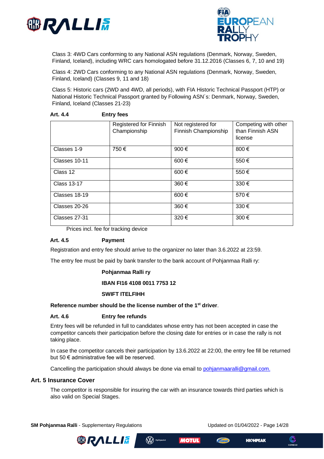



Class 3: 4WD Cars conforming to any National ASN regulations (Denmark, Norway, Sweden, Finland, Iceland), including WRC cars homologated before 31.12.2016 (Classes 6, 7, 10 and 19)

Class 4: 2WD Cars conforming to any National ASN regulations (Denmark, Norway, Sweden, Finland, Iceland) (Classes 9, 11 and 18)

Class 5: Historic cars (2WD and 4WD, all periods), with FIA Historic Technical Passport (HTP) or National Historic Technical Passport granted by Following ASN´s: Denmark, Norway, Sweden, Finland, Iceland (Classes 21-23)

|                    | <b>Registered for Finnish</b> | Not registered for   | Competing with other |
|--------------------|-------------------------------|----------------------|----------------------|
|                    | Championship                  | Finnish Championship | than Finnish ASN     |
|                    |                               |                      | license              |
| Classes 1-9        | 750€                          | 900 €                | 800€                 |
| Classes 10-11      |                               | 600€                 | 550€                 |
| Class 12           |                               | 600€                 | 550€                 |
| <b>Class 13-17</b> |                               | 360€                 | 330€                 |
| Classes 18-19      |                               | 600€                 | 570€                 |
| Classes 20-26      |                               | 360€                 | 330€                 |
| Classes 27-31      |                               | 320€                 | 300€                 |

#### <span id="page-13-0"></span>**Art. 4.4 Entry fees**

Prices incl. fee for tracking device

#### <span id="page-13-1"></span>**Art. 4.5 Payment**

Registration and entry fee should arrive to the organizer no later than 3.6.2022 at 23:59.

The entry fee must be paid by bank transfer to the bank account of Pohjanmaa Ralli ry:

#### **Pohjanmaa Ralli ry**

#### **IBAN FI16 4108 0011 7753 12**

#### **SWIFT ITELFIHH**

#### **Reference number should be the license number of the 1st driver**.

#### <span id="page-13-2"></span>**Art. 4.6 Entry fee refunds**

Entry fees will be refunded in full to candidates whose entry has not been accepted in case the competitor cancels their participation before the closing date for entries or in case the rally is not taking place.

In case the competitor cancels their participation by 13.6.2022 at 22:00, the entry fee fill be returned but 50 € administrative fee will be reserved.

Cancelling the participation should always be done via email to [pohjanmaaralli@gmail.com.](mailto:pohjanmaaralli@gmail.com)

(W) Hyötyautot

#### <span id="page-13-3"></span>**Art. 5 Insurance Cover**

The competitor is responsible for insuring the car with an insurance towards third parties which is also valid on Special Stages.

**SM Pohjanmaa Ralli** - Supplementary Regulations Updated on 01/04/2022 - Page 14/28







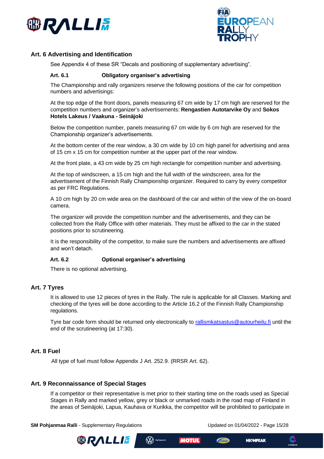



## <span id="page-14-0"></span>**Art. 6 Advertising and Identification**

See Appendix 4 of these SR "Decals and positioning of supplementary advertising".

#### <span id="page-14-1"></span>**Art. 6.1 Obligatory organiser's advertising**

The Championship and rally organizers reserve the following positions of the car for competition numbers and advertisings:

At the top edge of the front doors, panels measuring 67 cm wide by 17 cm high are reserved for the competition numbers and organizer's advertisements: **Rengastien Autotarvike Oy** and **Sokos Hotels Lakeus / Vaakuna - Seinäjoki**

Below the competition number, panels measuring 67 cm wide by 6 cm high are reserved for the Championship organizer's advertisements.

At the bottom center of the rear window, a 30 cm wide by 10 cm high panel for advertising and area of 15 cm x 15 cm for competition number at the upper part of the rear window.

At the front plate, a 43 cm wide by 25 cm high rectangle for competition number and advertising.

At the top of windscreen, a 15 cm high and the full width of the windscreen, area for the advertisement of the Finnish Rally Championship organizer. Required to carry by every competitor as per FRC Regulations.

A 10 cm high by 20 cm wide area on the dashboard of the car and within of the view of the on-board camera.

The organizer will provide the competition number and the advertisements, and they can be collected from the Rally Office with other materials. They must be affixed to the car in the stated positions prior to scrutineering.

It is the responsibility of the competitor, to make sure the numbers and advertisements are affixed and won't detach.

#### <span id="page-14-2"></span>**Art. 6.2 Optional organiser's advertising**

There is no optional advertising.

#### <span id="page-14-3"></span>**Art. 7 Tyres**

It is allowed to use 12 pieces of tyres in the Rally. The rule is applicable for all Classes. Marking and checking of the tyres will be done according to the Article 16.2 of the Finnish Rally Championship regulations.

Tyre bar code form should be returned only electronically to rallism kats as tuse autourheilu. If until the end of the scrutineering (at 17:30).

#### <span id="page-14-4"></span>**Art. 8 Fuel**

All type of fuel must follow Appendix J Art. 252.9. (RRSR Art. 62).

#### <span id="page-14-5"></span>**Art. 9 Reconnaissance of Special Stages**

If a competitor or their representative is met prior to their starting time on the roads used as Special Stages in Rally and marked yellow, grey or black or unmarked roads in the road map of Finland in the areas of Seinäjoki, Lapua, Kauhava or Kurikka, the competitor will be prohibited to participate in

(W) Hyötyautot

**SM Pohjanmaa Ralli** - Supplementary Regulations Updated on 01/04/2022 - Page 15/28



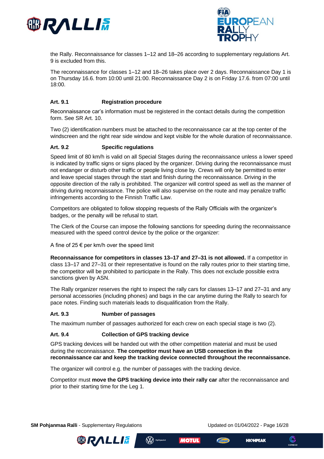



the Rally. Reconnaissance for classes 1–12 and 18–26 according to supplementary regulations Art. 9 is excluded from this.

The reconnaissance for classes 1–12 and 18–26 takes place over 2 days. Reconnaissance Day 1 is on Thursday 16.6. from 10:00 until 21:00. Reconnaissance Day 2 is on Friday 17.6. from 07:00 until 18:00.

#### <span id="page-15-0"></span>**Art. 9.1 Registration procedure**

Reconnaissance car's information must be registered in the contact details during the competition form. See SR Art. 10.

Two (2) identification numbers must be attached to the reconnaissance car at the top center of the windscreen and the right rear side window and kept visible for the whole duration of reconnaissance.

#### <span id="page-15-1"></span>**Art. 9.2 Specific regulations**

Speed limit of 80 km/h is valid on all Special Stages during the reconnaissance unless a lower speed is indicated by traffic signs or signs placed by the organizer. Driving during the reconnaissance must not endanger or disturb other traffic or people living close by. Crews will only be permitted to enter and leave special stages through the start and finish during the reconnaissance. Driving in the opposite direction of the rally is prohibited. The organizer will control speed as well as the manner of driving during reconnaissance. The police will also supervise on the route and may penalize traffic infringements according to the Finnish Traffic Law.

Competitors are obligated to follow stopping requests of the Rally Officials with the organizer's badges, or the penalty will be refusal to start.

The Clerk of the Course can impose the following sanctions for speeding during the reconnaissance measured with the speed control device by the police or the organizer:

A fine of 25  $\epsilon$  per km/h over the speed limit

**Reconnaissance for competitors in classes 13–17 and 27–31 is not allowed.** If a competitor in class 13–17 and 27–31 or their representative is found on the rally routes prior to their starting time, the competitor will be prohibited to participate in the Rally. This does not exclude possible extra sanctions given by ASN.

The Rally organizer reserves the right to inspect the rally cars for classes 13–17 and 27–31 and any personal accessories (including phones) and bags in the car anytime during the Rally to search for pace notes. Finding such materials leads to disqualification from the Rally.

#### <span id="page-15-2"></span>**Art. 9.3 Number of passages**

The maximum number of passages authorized for each crew on each special stage is two (2).

#### <span id="page-15-3"></span>**Art. 9.4 Collection of GPS tracking device**

GPS tracking devices will be handed out with the other competition material and must be used during the reconnaissance. **The competitor must have an USB connection in the reconnaissance car and keep the tracking device connected throughout the reconnaissance.** 

The organizer will control e.g. the number of passages with the tracking device.

(W) Hyötyautot

Competitor must **move the GPS tracking device into their rally car** after the reconnaissance and prior to their starting time for the Leg 1.

**SM Pohjanmaa Ralli** - Supplementary Regulations Updated on 01/04/2022 - Page 16/28





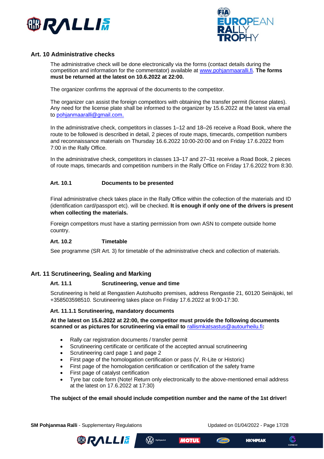



### <span id="page-16-0"></span>**Art. 10 Administrative checks**

The administrative check will be done electronically via the forms (contact details during the competition and information for the commentator) available at [www.pohjanmaaralli.fi.](http://www.pohjanmaaralli.fi/) **The forms must be returned at the latest on 10.6.2022 at 22:00.**

The organizer confirms the approval of the documents to the competitor.

The organizer can assist the foreign competitors with obtaining the transfer permit (license plates). Any need for the license plate shall be informed to the organizer by 15.6.2022 at the latest via email to [pohjanmaaralli@gmail.com](mailto:pohjanmaaralli@gmail.com).

In the administrative check, competitors in classes 1–12 and 18–26 receive a Road Book, where the route to be followed is described in detail, 2 pieces of route maps, timecards, competition numbers and reconnaissance materials on Thursday 16.6.2022 10:00-20:00 and on Friday 17.6.2022 from 7:00 in the Rally Office.

In the administrative check, competitors in classes 13–17 and 27–31 receive a Road Book, 2 pieces of route maps, timecards and competition numbers in the Rally Office on Friday 17.6.2022 from 8:30.

#### <span id="page-16-1"></span>**Art. 10.1 Documents to be presented**

Final administrative check takes place in the Rally Office within the collection of the materials and ID (identification card/passport etc). will be checked. **It is enough if only one of the drivers is present when collecting the materials.** 

Foreign competitors must have a starting permission from own ASN to compete outside home country.

#### <span id="page-16-2"></span>**Art. 10.2 Timetable**

See programme (SR Art. 3) for timetable of the administrative check and collection of materials.

#### <span id="page-16-4"></span><span id="page-16-3"></span>**Art. 11 Scrutineering, Sealing and Marking**

#### **Art. 11.1 Scrutineering, venue and time**

Scrutineering is held at Rengastien Autohuolto premises, address Rengastie 21, 60120 Seinäjoki, tel +358503598510. Scrutineering takes place on Friday 17.6.2022 at 9:00-17:30.

#### <span id="page-16-5"></span>**Art. 11.1.1 Scrutineering, mandatory documents**

#### **At the latest on 15.6.2022 at 22:00, the competitor must provide the following documents scanned or as pictures for scrutineering via email to** [rallismkatsastus@autourheilu.fi](mailto:rallismkatsastus@autourheilu.fi)**:**

- Rally car registration documents / transfer permit
- Scrutineering certificate or certificate of the accepted annual scrutineering
- Scrutineering card page 1 and page 2
- First page of the homologation certification or pass (V, R-Lite or Historic)
- First page of the homologation certification or certification of the safety frame

(W) Hyötyautot

- First page of catalyst certification
- Tyre bar code form (Note! Return only electronically to the above-mentioned email address at the latest on 17.6.2022 at 17:30)

#### **The subject of the email should include competition number and the name of the 1st driver!**

**SM Pohjanmaa Ralli** - Supplementary Regulations Updated on 01/04/2022 - Page 17/28





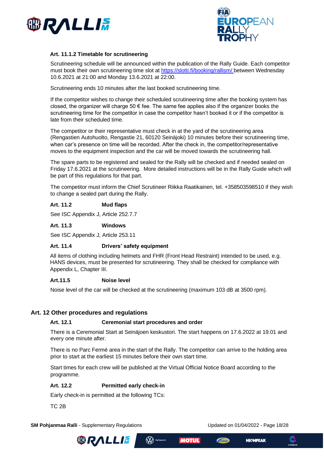



#### <span id="page-17-0"></span>**Art. 11.1.2 Timetable for scrutineering**

Scrutineering schedule will be announced within the publication of the Rally Guide. Each competitor must book their own scrutineering time slot at<https://slotti.fi/booking/rallism/> between Wednesday 10.6.2021 at 21:00 and Monday 13.6.2021 at 22:00.

Scrutineering ends 10 minutes after the last booked scrutineering time.

If the competitor wishes to change their scheduled scrutineering time after the booking system has closed, the organizer will charge 50 € fee. The same fee applies also if the organizer books the scrutineering time for the competitor in case the competitor hasn't booked it or if the competitor is late from their scheduled time.

The competitor or their representative must check in at the yard of the scrutineering area (Rengastien Autohuolto, Rengastie 21, 60120 Seinäjoki) 10 minutes before their scrutineering time, when car's presence on time will be recorded. After the check in, the competitor/representative moves to the equipment inspection and the car will be moved towards the scrutineering hall.

The spare parts to be registered and sealed for the Rally will be checked and if needed sealed on Friday 17.6.2021 at the scrutineering. More detailed instructions will be in the Rally Guide which will be part of this regulations for that part.

The competitor must inform the Chief Scrutineer Riikka Raatikainen, tel. +358503598510 if they wish to change a sealed part during the Rally.

### <span id="page-17-1"></span>**Art. 11.2 Mud flaps**

See ISC Appendix J, Article 252.7.7

#### <span id="page-17-2"></span>**Art. 11.3 Windows**

See ISC Appendix J, Article 253.11

#### <span id="page-17-3"></span>**Art. 11.4 Drivers' safety equipment**

All items of clothing including helmets and FHR (Front Head Restraint) intended to be used, e.g. HANS devices, must be presented for scrutineering. They shall be checked for compliance with Appendix L, Chapter III.

#### <span id="page-17-4"></span>**Art.11.5 Noise level**

Noise level of the car will be checked at the scrutineering (maximum 103 dB at 3500 rpm).

#### <span id="page-17-6"></span><span id="page-17-5"></span>**Art. 12 Other procedures and regulations**

#### **Art. 12.1 Ceremonial start procedures and order**

There is a Ceremonial Start at Seinäjoen keskustori. The start happens on 17.6.2022 at 19.01 and every one minute after.

There is no Parc Fermé area in the start of the Rally. The competitor can arrive to the holding area prior to start at the earliest 15 minutes before their own start time.

Start times for each crew will be published at the Virtual Official Notice Board according to the programme.

#### <span id="page-17-7"></span>**Art. 12.2 Permitted early check-in**

Early check-in is permitted at the following TCs:

TC 2B

**SM Pohjanmaa Ralli** - Supplementary Regulations Updated on 01/04/2022 - Page 18/28







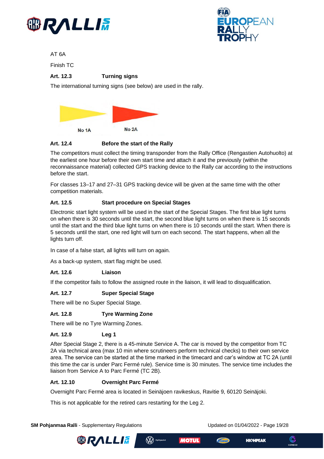



AT 6A

Finish TC

## <span id="page-18-0"></span>**Art. 12.3 Turning signs**

The international turning signs (see below) are used in the rally.



## <span id="page-18-1"></span>**Art. 12.4 Before the start of the Rally**

The competitors must collect the timing transponder from the Rally Office (Rengastien Autohuolto) at the earliest one hour before their own start time and attach it and the previously (within the reconnaissance material) collected GPS tracking device to the Rally car according to the instructions before the start.

For classes 13–17 and 27–31 GPS tracking device will be given at the same time with the other competition materials.

## <span id="page-18-2"></span>**Art. 12.5 Start procedure on Special Stages**

Electronic start light system will be used in the start of the Special Stages. The first blue light turns on when there is 30 seconds until the start, the second blue light turns on when there is 15 seconds until the start and the third blue light turns on when there is 10 seconds until the start. When there is 5 seconds until the start, one red light will turn on each second. The start happens, when all the lights turn off.

In case of a false start, all lights will turn on again.

As a back-up system, start flag might be used.

## <span id="page-18-3"></span>**Art. 12.6 Liaison**

If the competitor fails to follow the assigned route in the liaison, it will lead to disqualification.

#### <span id="page-18-4"></span>**Art. 12.7 Super Special Stage**

There will be no Super Special Stage.

## <span id="page-18-5"></span>**Art. 12.8 Tyre Warming Zone**

There will be no Tyre Warming Zones.

## <span id="page-18-6"></span>**Art. 12.9 Leg 1**

After Special Stage 2, there is a 45-minute Service A. The car is moved by the competitor from TC 2A via technical area (max 10 min where scrutineers perform technical checks) to their own service area. The service can be started at the time marked in the timecard and car's window at TC 2A (until this time the car is under Parc Fermé rule). Service time is 30 minutes. The service time includes the liaison from Service A to Parc Fermé (TC 2B).

#### <span id="page-18-7"></span>**Art. 12.10 Overnight Parc Fermé**

Overnight Parc Fermé area is located in Seinäjoen ravikeskus, Ravitie 9, 60120 Seinäjoki.

 $\bigotimes$  "

This is not applicable for the retired cars restarting for the Leg 2.

**SM Pohjanmaa Ralli** - Supplementary Regulations Updated on 01/04/2022 - Page 19/28





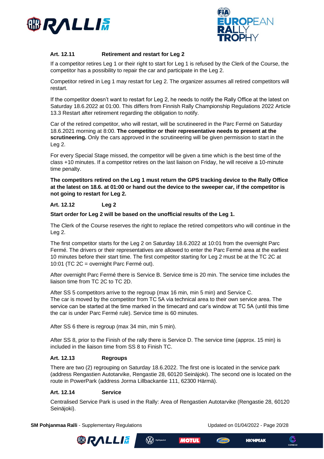



## <span id="page-19-0"></span>**Art. 12.11 Retirement and restart for Leg 2**

If a competitor retires Leg 1 or their right to start for Leg 1 is refused by the Clerk of the Course, the competitor has a possibility to repair the car and participate in the Leg 2.

Competitor retired in Leg 1 may restart for Leg 2. The organizer assumes all retired competitors will restart.

If the competitor doesn't want to restart for Leg 2, he needs to notify the Rally Office at the latest on Saturday 18.6.2022 at 01:00. This differs from Finnish Rally Championship Regulations 2022 Article 13.3 Restart after retirement regarding the obligation to notify.

Car of the retired competitor, who will restart, will be scrutineered in the Parc Fermé on Saturday 18.6.2021 morning at 8:00. **The competitor or their representative needs to present at the scrutineering.** Only the cars approved in the scrutineering will be given permission to start in the Leg 2.

For every Special Stage missed, the competitor will be given a time which is the best time of the class +10 minutes. If a competitor retires on the last liaison on Friday, he will receive a 10-minute time penalty.

**The competitors retired on the Leg 1 must return the GPS tracking device to the Rally Office at the latest on 18.6. at 01:00 or hand out the device to the sweeper car, if the competitor is not going to restart for Leg 2.**

### <span id="page-19-1"></span>**Art. 12.12 Leg 2**

**Start order for Leg 2 will be based on the unofficial results of the Leg 1.** 

The Clerk of the Course reserves the right to replace the retired competitors who will continue in the Leg 2.

The first competitor starts for the Leg 2 on Saturday 18.6.2022 at 10:01 from the overnight Parc Fermé. The drivers or their representatives are allowed to enter the Parc Fermé area at the earliest 10 minutes before their start time. The first competitor starting for Leg 2 must be at the TC 2C at 10:01 (TC 2C = overnight Parc Fermé out).

After overnight Parc Fermé there is Service B. Service time is 20 min. The service time includes the liaison time from TC 2C to TC 2D.

After SS 5 competitors arrive to the regroup (max 16 min, min 5 min) and Service C. The car is moved by the competitor from TC 5A via technical area to their own service area. The service can be started at the time marked in the timecard and car's window at TC 5A (until this time the car is under Parc Fermé rule). Service time is 60 minutes.

After SS 6 there is regroup (max 34 min, min 5 min).

After SS 8, prior to the Finish of the rally there is Service D. The service time (approx. 15 min) is included in the liaison time from SS 8 to Finish TC.

#### <span id="page-19-2"></span>**Art. 12.13 Regroups**

There are two (2) regrouping on Saturday 18.6.2022. The first one is located in the service park (address Rengastien Autotarvike, Rengastie 28, 60120 Seinäjoki). The second one is located on the route in PowerPark (address Jorma Lillbackantie 111, 62300 Härmä).

#### <span id="page-19-3"></span>**Art. 12.14 Service**

Centralised Service Park is used in the Rally: Area of Rengastien Autotarvike (Rengastie 28, 60120 Seinäjoki).

**SM Pohjanmaa Ralli** - Supplementary Regulations Updated on 01/04/2022 - Page 20/28



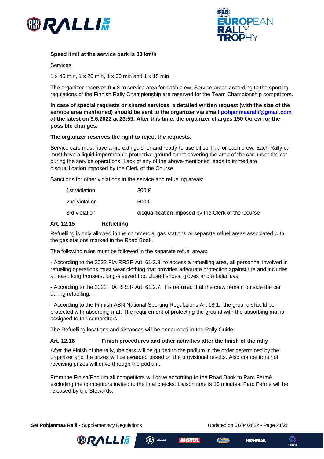



#### **Speed limit at the service park is 30 km/h**

Services:

1 x 45 min, 1 x 20 min, 1 x 60 min and 1 x 15 min

The organizer reserves 6 x 8 m service area for each crew. Service areas according to the sporting regulations of the Finnish Rally Championship are reserved for the Team Championship competitors.

**In case of special requests or shared services, a detailed written request (with the size of the service area mentioned) should be sent to the organizer via email [pohjanmaaralli@gmail.com](mailto:pohjanmaaralli@gmail.com)  at the latest on 9.6.2022 at 23:59. After this time, the organizer charges 150 €/crew for the possible changes.**

#### **The organizer reserves the right to reject the requests.**

Service cars must have a fire extinguisher and ready-to-use oil spill kit for each crew. Each Rally car must have a liquid-impermeable protective ground sheet covering the area of the car under the car during the service operations. Lack of any of the above-mentioned leads to immediate disqualification imposed by the Clerk of the Course.

Sanctions for other violations in the service and refueling areas:

| 1st violation | 300 €                                               |
|---------------|-----------------------------------------------------|
| 2nd violation | 600€                                                |
| 3rd violation | disqualification imposed by the Clerk of the Course |

#### <span id="page-20-0"></span>**Art. 12.15 Refuelling**

Refuelling is only allowed in the commercial gas stations or separate refuel areas associated with the gas stations marked in the Road Book.

The following rules must be followed in the separate refuel areas:

- According to the 2022 FIA RRSR Art. 61.2.3, to access a refuelling area, all personnel involved in refueling operations must wear clothing that provides adequate protection against fire and includes at least: long trousers, long-sleeved top, closed shoes, gloves and a balaclava.

- According to the 2022 FIA RRSR Art. 61.2.7, it is required that the crew remain outside the car during refuelling.

- According to the Finnish ASN National Sporting Regulations Art 18.1., the ground should be protected with absorbing mat. The requirement of protecting the ground with the absorbing mat is assigned to the competitors.

The Refuelling locations and distances will be announced in the Rally Guide.

#### <span id="page-20-1"></span>**Art. 12.16 Finish procedures and other activities after the finish of the rally**

(W) Hyötyautot

After the Finish of the rally, the cars will be guided to the podium in the order determined by the organizer and the prizes will be awarded based on the provisional results. Also competitors not receiving prizes will drive through the podium.

From the Finish/Podium all competitors will drive according to the Road Book to Parc Fermé excluding the competitors invited to the final checks. Liaison time is 10 minutes. Parc Fermé will be released by the Stewards.

**SM Pohjanmaa Ralli** - Supplementary Regulations Updated on 01/04/2022 - Page 21/28





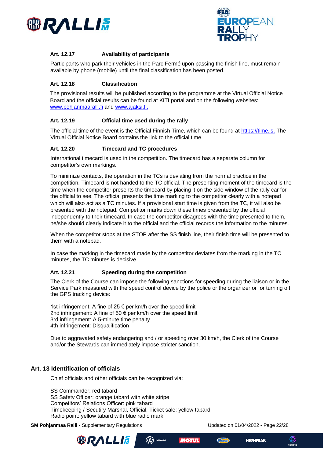



## <span id="page-21-0"></span>**Art. 12.17 Availability of participants**

Participants who park their vehicles in the Parc Fermé upon passing the finish line, must remain available by phone (mobile) until the final classification has been posted.

#### <span id="page-21-1"></span>**Art. 12.18 Classification**

The provisional results will be published according to the programme at the Virtual Official Notice Board and the official results can be found at KITI portal and on the following websites: [www.pohjanmaaralli.fi](http://www.pohjanmaaralli.fi/) and [www.ajaksi.fi.](http://www.ajaksi.fi/)

### <span id="page-21-2"></span>**Art. 12.19 Official time used during the rally**

The official time of the event is the Official Finnish Time, which can be found at [https://time.is](https://time.is/). The Virtual Official Notice Board contains the link to the official time.

#### <span id="page-21-3"></span>**Art. 12.20 Timecard and TC procedures**

International timecard is used in the competition. The timecard has a separate column for competitor's own markings.

To minimize contacts, the operation in the TCs is deviating from the normal practice in the competition. Timecard is not handed to the TC official. The presenting moment of the timecard is the time when the competitor presents the timecard by placing it on the side window of the rally car for the official to see. The official presents the time marking to the competitor clearly with a notepad which will also act as a TC minutes. If a provisional start time is given from the TC, it will also be presented with the notepad. Competitor marks down these times presented by the official independently to their timecard. In case the competitor disagrees with the time presented to them, he/she should clearly indicate it to the official and the official records the information to the minutes.

When the competitor stops at the STOP after the SS finish line, their finish time will be presented to them with a notepad.

In case the marking in the timecard made by the competitor deviates from the marking in the TC minutes, the TC minutes is decisive.

#### <span id="page-21-4"></span>**Art. 12.21 Speeding during the competition**

The Clerk of the Course can impose the following sanctions for speeding during the liaison or in the Service Park measured with the speed control device by the police or the organizer or for turning off the GPS tracking device:

1st infringement: A fine of 25 € per km/h over the speed limit 2nd infringement: A fine of 50  $\epsilon$  per km/h over the speed limit 3rd infringement: A 5-minute time penalty 4th infringement: Disqualification

Due to aggravated safety endangering and / or speeding over 30 km/h, the Clerk of the Course and/or the Stewards can immediately impose stricter sanction.

## <span id="page-21-5"></span>**Art. 13 Identification of officials**

Chief officials and other officials can be recognized via:

SS Commander: red tabard SS Safety Officer: orange tabard with white stripe Competitors' Relations Officer: pink tabard Timekeeping / Secutiry Marshal, Official, Ticket sale: yellow tabard Radio point: yellow tabard with blue radio mark

**SM Pohjanmaa Ralli** - Supplementary Regulations Updated on 01/04/2022 - Page 22/28





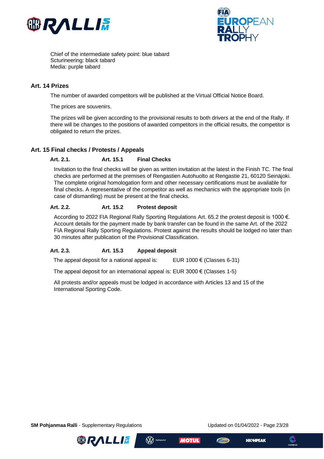



Chief of the intermediate safety point: blue tabard Scturineering: black tabard Media: purple tabard

#### <span id="page-22-0"></span>**Art. 14 Prizes**

The number of awarded competitors will be published at the Virtual Official Notice Board.

The prices are souvenirs.

The prizes will be given according to the provisional results to both drivers at the end of the Rally. If there will be changes to the positions of awarded competitors in the official results, the competitor is obligated to return the prizes.

## <span id="page-22-2"></span><span id="page-22-1"></span>**Art. 15 Final checks / Protests / Appeals**

#### **Art. 2.1. Art. 15.1 Final Checks**

Invitation to the final checks will be given as written invitation at the latest in the Finish TC. The final checks are performed at the premises of Rengastien Autohuolto at Rengastie 21, 60120 Seinäjoki. The complete original homologation form and other necessary certifications must be available for final checks. A representative of the competitor as well as mechanics with the appropriate tools (in case of dismantling) must be present at the final checks.

#### <span id="page-22-3"></span>**Art. 2.2. Art. 15.2 Protest deposit**

According to 2022 FIA Regional Rally Sporting Regulations Art. 65.2 the protest deposit is 1000 €. Account details for the payment made by bank transfer can be found in the same Art. of the 2022 FIA Regional Rally Sporting Regulations. Protest against the results should be lodged no later than 30 minutes after publication of the Provisional Classification.

#### <span id="page-22-4"></span>**Art. 2.3. Art. 15.3 Appeal deposit**

The appeal deposit for a national appeal is: EUR 1000  $\epsilon$  (Classes 6-31)

The appeal deposit for an international appeal is: EUR 3000  $\epsilon$  (Classes 1-5)

All protests and/or appeals must be lodged in accordance with Articles 13 and 15 of the International Sporting Code.

**SM Pohjanmaa Ralli** - Supplementary Regulations Updated on 01/04/2022 - Page 23/28





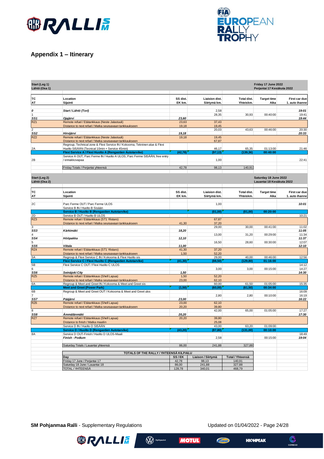



## <span id="page-23-0"></span>**Appendix 1 – Itinerary**

| Start (Leg 1)<br>Lähtö (Osa 1) |                                                                                                                      |                    |                                       |                                 | Friday 17 June 2022<br>Perjantai 17 Kesäkuta 2022  |                                 |
|--------------------------------|----------------------------------------------------------------------------------------------------------------------|--------------------|---------------------------------------|---------------------------------|----------------------------------------------------|---------------------------------|
| TC<br>AT                       | Location<br>Sijainti                                                                                                 | SS dist.<br>EK km. | <b>Liaision dist.</b><br>Siirtymä km. | Total dist.<br>Yhteiskm.        | <b>Target time</b><br>Aika                         | First car due<br>1. auto ihanne |
| 0<br>1                         | Start / Lähtö (Tori)                                                                                                 |                    | 2,58<br>28,35                         | 30,93                           | 00:40:00                                           | 19:01<br>19:41                  |
| SS1                            | Ojajärvi                                                                                                             | 23,60              |                                       |                                 |                                                    | 19:44                           |
| RZ <sub>1</sub>                | Remote refuel / Etätankkaus (Neste Jalastuuli)                                                                       | 23,63              | 37,43                                 |                                 |                                                    |                                 |
| 2                              | Distance to next refuel / Matka seuraavaan tankkaukseen                                                              | 19,18              | 19,45<br>20,03                        | 43,63                           | 00:46:00                                           | 20:30                           |
| SS2                            | Hirvijärvi                                                                                                           | 19,18              |                                       |                                 |                                                    | 20:33                           |
| RZ <sub>2</sub>                | Remote refuel / Etätankkaus (Neste Jalastuuli)<br>Distance to next refuel / Matka seuraavaan tankkaukseen            | 19,18              | 19,45<br>67,87                        |                                 |                                                    |                                 |
|                                | Regroup, Technical zone & Flexi Service IN / Kokooma, Tekninen alue & Flexi                                          |                    |                                       |                                 | 01:13:00                                           |                                 |
| 2A                             | Huolto SISÄÄN (Tecnical 10min + Service 45min)<br>Flexi Service A / Flexi Huolto A (Rengastien Autotarvike)          | (42, 78)           | 46,17<br>(97, 13)                     | 65,35<br>(139, 36)              | 00:40:00                                           | 21:46                           |
|                                | Service A OUT, Parc Ferme IN / Huolto A ULOS, Parc Ferme SISÄÄN, free entry                                          |                    |                                       |                                 |                                                    |                                 |
| 2B                             | / ennakkovapaa                                                                                                       |                    | 1,00                                  |                                 |                                                    | 22:41                           |
|                                | Friday Totals / Perjantai yhteensä                                                                                   | 42,78              | 98,13                                 | 140,91                          |                                                    |                                 |
| Start (Leg 2)<br>Lähtö (Osa 2) |                                                                                                                      |                    |                                       |                                 | Saturday 18 June 2022<br>Lauantai 18 Kesäkuta 2022 |                                 |
| TC<br>AT                       | Location<br>Sijainti                                                                                                 | SS dist.<br>EK km. | Liaision dist.<br>Siirtymä km.        | <b>Total dist.</b><br>Yhteiskm. | <b>Target time</b><br>Aika                         | First car due<br>1. auto ihanne |
| 2C                             | Parc Ferme OUT / Parc Ferme ULOS<br>Service B IN / Huolto B Sisään                                                   |                    | 1,00                                  |                                 |                                                    | 10:01                           |
|                                | <b>Service B / Huolto B (Rengastien Autotarvike)</b>                                                                 |                    | (01, 00)                              | (01, 00)                        | 00:20:00                                           |                                 |
| 2D                             | Service B OUT / Huolto B ULOS<br>Remote refuel / Etätankkaus (ST1 Ylistaro)                                          |                    | 67,87                                 |                                 |                                                    | 10:21                           |
| RZ3                            | Distance to next refuel / Matka seuraavaan tankkaukseen                                                              | 41,30              | 37,20                                 |                                 |                                                    |                                 |
| 3                              |                                                                                                                      |                    | 29,00                                 | 30,00                           | 00:41:00                                           | 11:02                           |
| SS3                            | Kärkimäki                                                                                                            | 18,20              |                                       |                                 |                                                    | 11:05                           |
| $\overline{4}$<br>SS4          | Hööpakka                                                                                                             | 12,10              | 13,00                                 | 31,20                           | 00:29:00                                           | 11:34<br>11:37                  |
| 5                              |                                                                                                                      |                    | 16,50                                 | 28,60                           | 00:30:00                                           | 12:07                           |
| SS5                            | Viitala                                                                                                              | 11,00              |                                       |                                 |                                                    | 12:10                           |
| RZ4                            | Remote refuel / Etätankkaus (ST1 Ylistaro)                                                                           | 41,30              | 37,20                                 |                                 |                                                    |                                 |
| 5A                             | Distance to next refuel / Matka seuraavaan tankkaukseen<br>Regroup & Flexi Service C IN / Kokooma & Flexi Huolto sis | 1,50               | 52,20<br>29,00                        | 40,00                           | 00:46:00                                           | 12:56                           |
|                                | Flexi Service C / Flexi Huolto C (Rengastien Autotarvike)                                                            | (41, 30)           | (88, 50)                              | (129, 80)                       | 01:16:00                                           |                                 |
| 5Β                             | Flexi Service C OUT / Flexi Huolto C ULOS                                                                            |                    |                                       |                                 |                                                    | 14:12                           |
| 6<br>SS6                       | Seinäjoki City                                                                                                       | 1,50               | 3,00                                  | 3,00                            | 00:15:00                                           | 14:27<br>14:30                  |
| RZ <sub>5</sub>                | Remote refuel / Etätankkaus (Shell Lapua)                                                                            | 1,50               | 52,20                                 |                                 |                                                    |                                 |
|                                | Distance to next refuel / Matka seuraavaan tankkaukseen                                                              | 23,00              | 62,10                                 |                                 |                                                    |                                 |
| 6A                             | Regroup & Meet and Greet IN / Kokooma & Meet and Greet sis<br><b>Meet and Greet (Power Park)</b>                     | (1,50)             | 60,00<br>(60, 00)                     | 61,50<br>(61, 50)               | 01:05:00<br>00:34:00                               | 15:35                           |
| 6B                             | Regroup & Meet and Greet OUT / Kokooma & Meet and Greet ulos                                                         |                    |                                       |                                 |                                                    | 16:09                           |
| 7                              |                                                                                                                      |                    | 2,80                                  | 2,80                            | 00:10:00                                           | 16:19                           |
| SS7<br>RZ <sub>6</sub>         | Pääjärvi<br>Remote refuel / Etätankkaus (Shell Lapua)                                                                | 23,00<br>23,00     | 62,10                                 |                                 |                                                    | 16:22                           |
|                                | Distance to next refuel / Matka seuraavaan tankkaukseen                                                              | 20,20              | 39,80                                 |                                 |                                                    |                                 |
| 8                              |                                                                                                                      |                    | 42,00                                 | 65,00                           | 01:05:00                                           | 17:27                           |
| SS8                            | Ämmälänmäki                                                                                                          | 20,20              |                                       |                                 |                                                    | 17:30                           |
| RZ7                            | Remote refuel / Etätankkaus (Shell Lapua)<br>Distance to finish / Matka maaliin                                      | 20,20              | 39,80<br>25,08                        |                                 |                                                    |                                 |
|                                | Service D IN / Huolto D SISÄÄN                                                                                       |                    | 43,00                                 | 63,20                           | 01:09:00                                           |                                 |
| 8A                             | <b>Service D / Huolto D (Rengastien Autotarvike)</b><br>Service D OUT-Finish / Huolto D ULOS-Maali                   | (43, 20)           | (87, 80)                              | (131,00)                        | 00:10:00                                           | 18:49                           |
|                                | Finish - Podium                                                                                                      |                    | 2,58                                  |                                 | 00:15:00                                           | 19:04                           |
|                                | Saturday Totals / Lauantai yhteensä                                                                                  | 86,00              | 241,88                                | 327,88                          |                                                    |                                 |
|                                | TOTALS OF THE RALLY / YHTEENSÄ KILPAILU                                                                              |                    |                                       |                                 |                                                    |                                 |
|                                | Day                                                                                                                  | SS/EK              | Liaison / Siirtymä                    | Total / Yhteensä                |                                                    |                                 |
|                                | Friday 17 June / Perjantai 17<br>Saturday 18 June / Lauantai 18                                                      | 42,78<br>86,00     | 98,13<br>241,88                       | 140,91<br>327,88                |                                                    |                                 |
|                                | TOTAL / YHTEENSÄ                                                                                                     | 128,78             | 340,01                                | 468,79                          |                                                    |                                 |

W Hyötyautot

**MOTUL** 

**SM Pohjanmaa Ralli** - Supplementary Regulations Updated on 01/04/2022 - Page 24/28

**BRALLIA** 

**HIGHPEAK** 

**Chan** 

 $\mathbb{C}$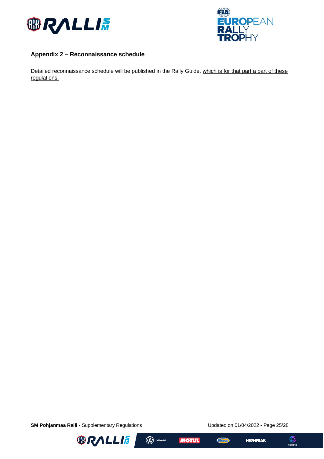



## <span id="page-24-0"></span>**Appendix 2 – Reconnaissance schedule**

Detailed reconnaissance schedule will be published in the Rally Guide, which is for that part a part of these regulations.

**SM Pohjanmaa Ralli** - Supplementary Regulations Updated on 01/04/2022 - Page 25/28





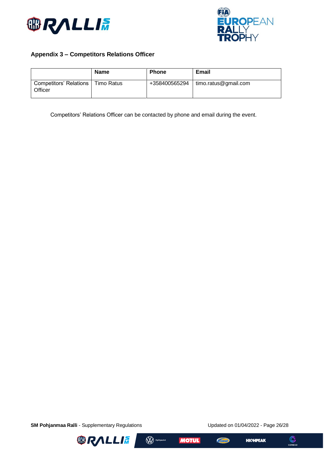



## <span id="page-25-0"></span>**Appendix 3 – Competitors Relations Officer**

|                                     | Name       | <b>Phone</b>  | Email                |
|-------------------------------------|------------|---------------|----------------------|
| Competitors' Relations  <br>Officer | Timo Ratus | +358400565294 | timo.ratus@gmail.com |

Competitors' Relations Officer can be contacted by phone and email during the event.

**SM Pohjanmaa Ralli** - Supplementary Regulations Updated on 01/04/2022 - Page 26/28



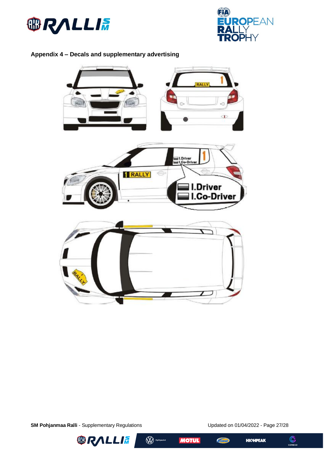



## <span id="page-26-0"></span>**Appendix 4 – Decals and supplementary advertising**



**SM Pohjanmaa Ralli** - Supplementary Regulations Updated on 01/04/2022 - Page 27/28





 $\mathcal{L}_{\text{flux}}$ 



 $\bigodot$ <br>COREGO